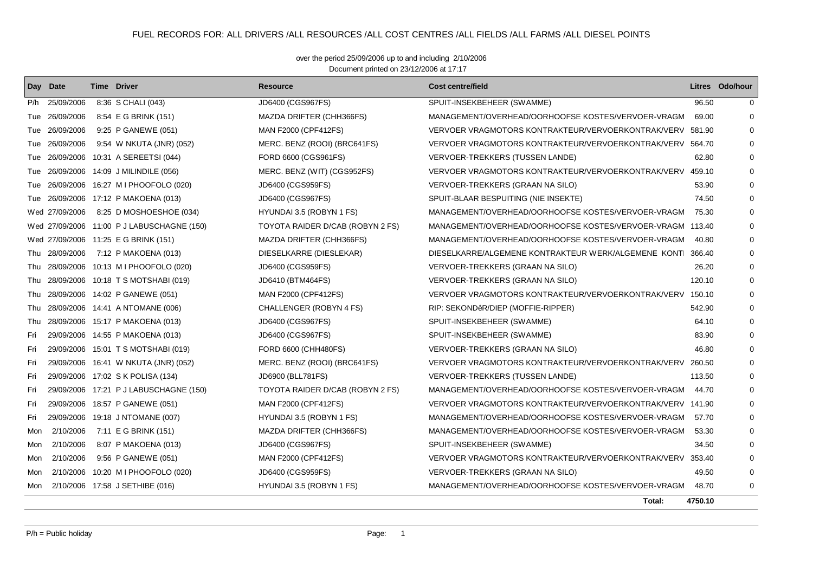## FUEL RECORDS FOR: ALL DRIVERS /ALL RESOURCES /ALL COST CENTRES /ALL FIELDS /ALL FARMS /ALL DIESEL POINTS

Document printed on 23/12/2006 at 17:17 over the period 25/09/2006 up to and including 2/10/2006

|     | Day Date       | <b>Time Driver</b>                         | Resource                         | <b>Cost centre/field</b>                                  |         | Litres Odo/hour |
|-----|----------------|--------------------------------------------|----------------------------------|-----------------------------------------------------------|---------|-----------------|
| P/h | 25/09/2006     | 8:36 S CHALI (043)                         | JD6400 (CGS967FS)                | SPUIT-INSEKBEHEER (SWAMME)                                | 96.50   | 0               |
| Tue | 26/09/2006     | 8:54 E G BRINK (151)                       | MAZDA DRIFTER (CHH366FS)         | MANAGEMENT/OVERHEAD/OORHOOFSE KOSTES/VERVOER-VRAGM        | 69.00   | 0               |
|     | Tue 26/09/2006 | 9:25 P GANEWE (051)                        | MAN F2000 (CPF412FS)             | VERVOER VRAGMOTORS KONTRAKTEUR/VERVOERKONTRAK/VERV 581.90 |         | 0               |
| Tue | 26/09/2006     | 9:54 W NKUTA (JNR) (052)                   | MERC. BENZ (ROOI) (BRC641FS)     | VERVOER VRAGMOTORS KONTRAKTEUR/VERVOERKONTRAK/VERV        | 564.70  | 0               |
| Tue | 26/09/2006     | 10:31 A SEREETSI (044)                     | FORD 6600 (CGS961FS)             | VERVOER-TREKKERS (TUSSEN LANDE)                           | 62.80   | 0               |
| Tue | 26/09/2006     | 14:09 J MILINDILE (056)                    | MERC. BENZ (WIT) (CGS952FS)      | VERVOER VRAGMOTORS KONTRAKTEUR/VERVOERKONTRAK/VERV        | 459.10  | 0               |
| Tue | 26/09/2006     | 16:27 M I PHOOFOLO (020)                   | JD6400 (CGS959FS)                | VERVOER-TREKKERS (GRAAN NA SILO)                          | 53.90   | 0               |
|     | Tue 26/09/2006 | 17:12 P MAKOENA (013)                      | JD6400 (CGS967FS)                | SPUIT-BLAAR BESPUITING (NIE INSEKTE)                      | 74.50   | 0               |
|     | Wed 27/09/2006 | 8:25 D MOSHOESHOE (034)                    | HYUNDAI 3.5 (ROBYN 1 FS)         | MANAGEMENT/OVERHEAD/OORHOOFSE KOSTES/VERVOER-VRAGM        | 75.30   | 0               |
|     |                | Wed 27/09/2006 11:00 P J LABUSCHAGNE (150) | TOYOTA RAIDER D/CAB (ROBYN 2 FS) | MANAGEMENT/OVERHEAD/OORHOOFSE KOSTES/VERVOER-VRAGM 113.40 |         | 0               |
|     |                | Wed 27/09/2006 11:25 E G BRINK (151)       | MAZDA DRIFTER (CHH366FS)         | MANAGEMENT/OVERHEAD/OORHOOFSE KOSTES/VERVOER-VRAGM        | 40.80   | 0               |
|     | Thu 28/09/2006 | 7:12 P MAKOENA (013)                       | DIESELKARRE (DIESLEKAR)          | DIESELKARRE/ALGEMENE KONTRAKTEUR WERK/ALGEMENE KONT       | 366.40  | $\Omega$        |
| Thu | 28/09/2006     | 10:13 M I PHOOFOLO (020)                   | JD6400 (CGS959FS)                | VERVOER-TREKKERS (GRAAN NA SILO)                          | 26.20   | 0               |
| Thu | 28/09/2006     | 10:18 T S MOTSHABI (019)                   | JD6410 (BTM464FS)                | VERVOER-TREKKERS (GRAAN NA SILO)                          | 120.10  | 0               |
| Thu | 28/09/2006     | 14:02 P GANEWE (051)                       | MAN F2000 (CPF412FS)             | VERVOER VRAGMOTORS KONTRAKTEUR/VERVOERKONTRAK/VERV 150.10 |         | 0               |
| Thu |                | 28/09/2006 14:41 A NTOMANE (006)           | CHALLENGER (ROBYN 4 FS)          | RIP: SEKONDêR/DIEP (MOFFIE-RIPPER)                        | 542.90  | 0               |
| Thu | 28/09/2006     | 15:17 P MAKOENA (013)                      | JD6400 (CGS967FS)                | SPUIT-INSEKBEHEER (SWAMME)                                | 64.10   | 0               |
| Fri |                | 29/09/2006 14:55 P MAKOENA (013)           | JD6400 (CGS967FS)                | SPUIT-INSEKBEHEER (SWAMME)                                | 83.90   | 0               |
| Fri | 29/09/2006     | 15:01 T S MOTSHABI (019)                   | FORD 6600 (CHH480FS)             | VERVOER-TREKKERS (GRAAN NA SILO)                          | 46.80   | 0               |
| Fri | 29/09/2006     | 16:41 W NKUTA (JNR) (052)                  | MERC. BENZ (ROOI) (BRC641FS)     | VERVOER VRAGMOTORS KONTRAKTEUR/VERVOERKONTRAK/VERV        | 260.50  | 0               |
| Fri |                | 29/09/2006 17:02 S K POLISA (134)          | JD6900 (BLL781FS)                | VERVOER-TREKKERS (TUSSEN LANDE)                           | 113.50  | 0               |
| Fri |                | 29/09/2006 17:21 P J LABUSCHAGNE (150)     | TOYOTA RAIDER D/CAB (ROBYN 2 FS) | MANAGEMENT/OVERHEAD/OORHOOFSE KOSTES/VERVOER-VRAGM        | 44.70   | 0               |
| Fri |                | 29/09/2006 18:57 P GANEWE (051)            | MAN F2000 (CPF412FS)             | VERVOER VRAGMOTORS KONTRAKTEUR/VERVOERKONTRAK/VERV 141.90 |         | 0               |
| Fri | 29/09/2006     | 19:18 J NTOMANE (007)                      | HYUNDAI 3.5 (ROBYN 1 FS)         | MANAGEMENT/OVERHEAD/OORHOOFSE KOSTES/VERVOER-VRAGM        | 57.70   | 0               |
| Mon | 2/10/2006      | 7:11 E G BRINK (151)                       | MAZDA DRIFTER (CHH366FS)         | MANAGEMENT/OVERHEAD/OORHOOFSE KOSTES/VERVOER-VRAGM        | 53.30   | 0               |
| Mon | 2/10/2006      | 8:07 P MAKOENA (013)                       | JD6400 (CGS967FS)                | SPUIT-INSEKBEHEER (SWAMME)                                | 34.50   | 0               |
| Mon | 2/10/2006      | 9:56 P GANEWE (051)                        | MAN F2000 (CPF412FS)             | VERVOER VRAGMOTORS KONTRAKTEUR/VERVOERKONTRAK/VERV        | 353.40  | 0               |
| Mon | 2/10/2006      | 10:20 M I PHOOFOLO (020)                   | JD6400 (CGS959FS)                | VERVOER-TREKKERS (GRAAN NA SILO)                          | 49.50   | 0               |
| Mon |                | 2/10/2006 17:58 J SETHIBE (016)            | HYUNDAI 3.5 (ROBYN 1 FS)         | MANAGEMENT/OVERHEAD/OORHOOFSE KOSTES/VERVOER-VRAGM        | 48.70   | 0               |
|     |                |                                            |                                  | Total:                                                    | 4750.10 |                 |

 $P/h =$  Public holiday  $P/h =$  Public holiday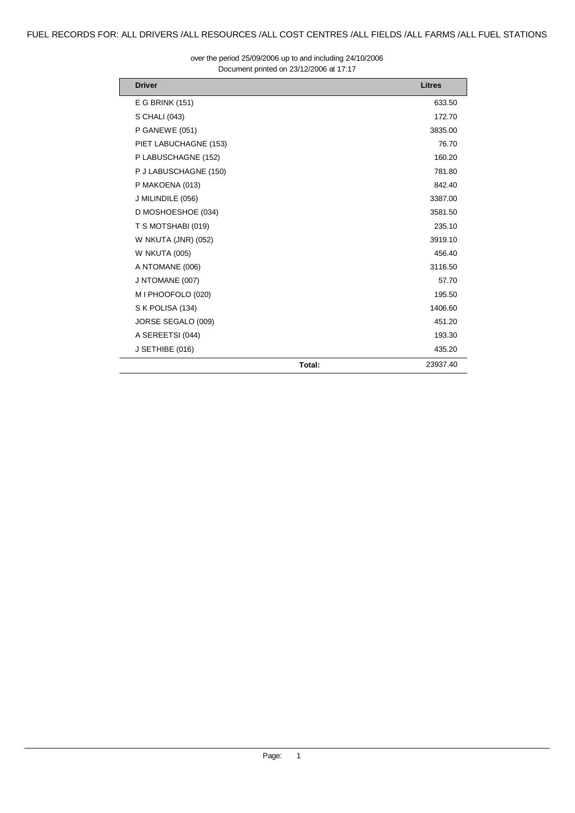Document printed on 23/12/2006 at 17:17 over the period 25/09/2006 up to and including 24/10/2006

| <b>Driver</b>         |        | <b>Litres</b> |
|-----------------------|--------|---------------|
| E G BRINK (151)       |        | 633.50        |
| S CHALI (043)         |        | 172.70        |
| P GANEWE (051)        |        | 3835.00       |
| PIET LABUCHAGNE (153) |        | 76.70         |
| P LABUSCHAGNE (152)   |        | 160.20        |
| P J LABUSCHAGNE (150) |        | 781.80        |
| P MAKOENA (013)       |        | 842.40        |
| J MILINDILE (056)     |        | 3387.00       |
| D MOSHOESHOE (034)    |        | 3581.50       |
| T S MOTSHABI (019)    |        | 235.10        |
| W NKUTA (JNR) (052)   |        | 3919.10       |
| <b>W NKUTA (005)</b>  |        | 456.40        |
| A NTOMANE (006)       |        | 3116.50       |
| J NTOMANE (007)       |        | 57.70         |
| M I PHOOFOLO (020)    |        | 195.50        |
| S K POLISA (134)      |        | 1406.60       |
| JORSE SEGALO (009)    |        | 451.20        |
| A SEREETSI (044)      |        | 193.30        |
| J SETHIBE (016)       |        | 435.20        |
|                       | Total: | 23937.40      |

 $\overline{a}$  $\overline{a}$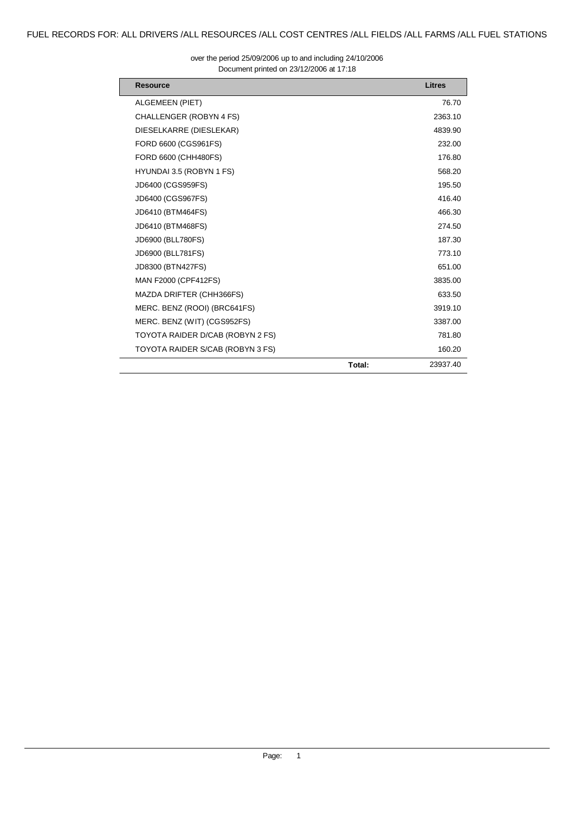| <b>Resource</b>                  |        | Litres   |
|----------------------------------|--------|----------|
| ALGEMEEN (PIET)                  |        | 76.70    |
| CHALLENGER (ROBYN 4 FS)          |        | 2363.10  |
| DIESELKARRE (DIESLEKAR)          |        | 4839.90  |
| FORD 6600 (CGS961FS)             |        | 232.00   |
| FORD 6600 (CHH480FS)             |        | 176.80   |
| HYUNDAI 3.5 (ROBYN 1 FS)         |        | 568.20   |
| JD6400 (CGS959FS)                |        | 195.50   |
| JD6400 (CGS967FS)                |        | 416.40   |
| JD6410 (BTM464FS)                |        | 466.30   |
| JD6410 (BTM468FS)                |        | 274.50   |
| JD6900 (BLL780FS)                |        | 187.30   |
| JD6900 (BLL781FS)                |        | 773.10   |
| JD8300 (BTN427FS)                |        | 651.00   |
| <b>MAN F2000 (CPF412FS)</b>      |        | 3835.00  |
| MAZDA DRIFTER (CHH366FS)         |        | 633.50   |
| MERC. BENZ (ROOI) (BRC641FS)     |        | 3919.10  |
| MERC. BENZ (WIT) (CGS952FS)      |        | 3387.00  |
| TOYOTA RAIDER D/CAB (ROBYN 2 FS) |        | 781.80   |
| TOYOTA RAIDER S/CAB (ROBYN 3 FS) |        | 160.20   |
|                                  | Total: | 23937.40 |

#### Document printed on 23/12/2006 at 17:18 over the period 25/09/2006 up to and including 24/10/2006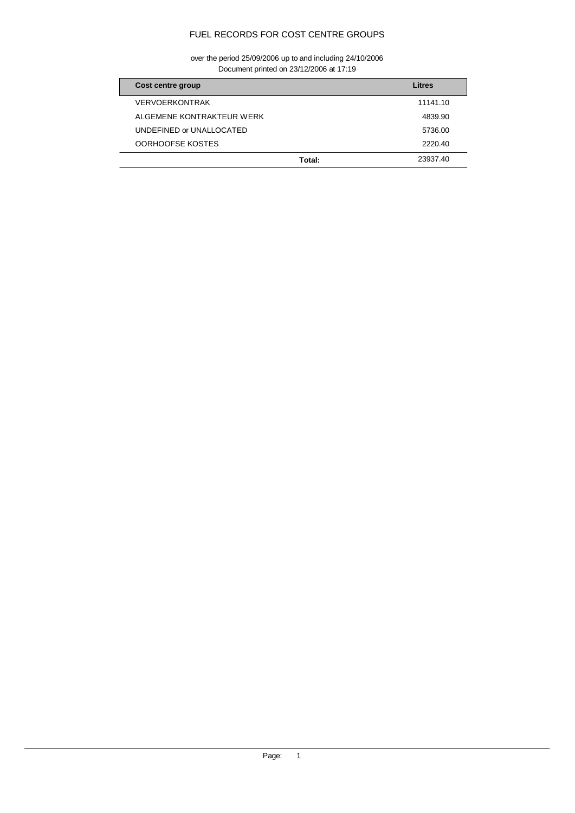# FUEL RECORDS FOR COST CENTRE GROUPS

Document printed on 23/12/2006 at 17:19 over the period 25/09/2006 up to and including 24/10/2006

| Cost centre group         | Litres   |
|---------------------------|----------|
| <b>VERVOERKONTRAK</b>     | 11141.10 |
| ALGEMENE KONTRAKTEUR WERK | 4839.90  |
| UNDEFINED or UNALLOCATED  | 5736.00  |
| OORHOOFSE KOSTES          | 2220.40  |
| Total:                    | 23937.40 |